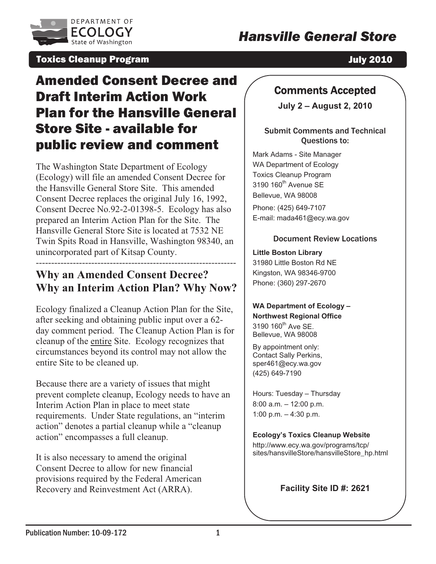

# *Hansville General Store*

#### Toxics Cleanup Program

July 2010

# Amended Consent Decree and Draft Interim Action Work Plan for the Hansville General **Store Site - available for** public review and comment

The Washington State Department of Ecology (Ecology) will file an amended Consent Decree for the Hansville General Store Site. This amended  $\begin{bmatrix} 319 \\ -1 \end{bmatrix}$ Consent Decree replaces the original July 16, 1992, Consent Decree No.92-2-01398-5. Ecology has also prepared an Interim Action Plan for the Site. The Hansville General Store Site is located at 7532 NE Twin Spits Road in Hansville, Washington 98340, an unincorporated part of Kitsap County.

#### --- **Why an Amended Consent Decree?** | Kin ------------------------------------------------ -------------- **Why an Interim Action Plan? Why Now?**

Ecology finalized a Cleanup Action Plan for the Site, after seeking and obtaining public input over a 62day comment period. The Cleanup Action Plan is for cleanup of the entire Site. Ecology recognizes that circumstances beyond its control may not allow the entire Site to be cleaned up.

Because there are a variety of issues that might prevent complete cleanup, Ecology needs to have an Interim Action Plan in place to meet state requirements. Under State regulations, an "interim action" denotes a partial cleanup while a "cleanup action" encompasses a full cleanup.

It is also necessary to amend the original Consent Decree to allow for new financial provisions required by the Federal American Recovery and Reinvestment Act (ARRA).

## Comments Accepted

**July 2 – August 2, 2010** 

#### Submit Comments and Technical Questions to:

Mark Adams - Site Manager WA Department of Ecology Toxics Cleanup Program  $3190$   $160^{\text{th}}$  Avenue SE Bellevue, WA 98008

Phone: (425) 649-7107 E-mail: mada461@ecy.wa.gov

#### Document Review Locations

# **n Library**  0 Little Boston Rd NE **Little Bosto** 3198

Kingston, WA 98346-9700 Phone: (360) 297-2670

# **WA Department of Ecology –<br>Northwest Regional Office Northwest Regional Office**  3190 160th Ave SE.

Bellevue, WA 98008

By appointment only: Contact Sally Perkins, sper461@ecy.wa.gov (425) 649-7190

Hours: Tuesday - Thursday 8:00 a.m. - 12:00 p.m. 1:00 p.m.  $-$  4:30 p.m.

 **Toxics Cleanup Website**  cy.wa.gov/programs/tcp/ **Ecology's** http://www.e sites/hansvilleStore/hansvilleStore\_hp.html

**Facility Site ID #: 2621**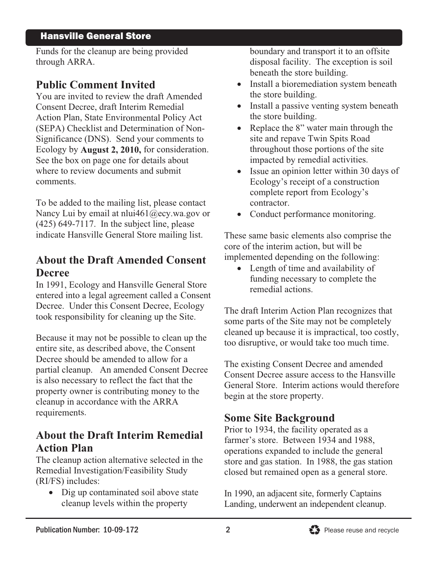#### Hansville General Store

Funds for the cleanup are being provided through ARRA.

#### **Public Comment Invited**

You are invited to review the draft Amended Consent Decree, draft Interim Remedial Action Plan, State Environmental Policy Act (SEPA) Checklist and Determination of Non-Significance (DNS). Send your comments to Ecology by **August 2, 2010,** for c See the box on page one for detail s about where to review documents and su bmit comments.

To be added to the mailing list, please contact Nancy Lui by email at nlui461@ec y.wa.gov or indicate Hansville General Store mai  $(425)$  649-7117. In the subject line, please

## **About the Draft Amended Consent Decree**

entered into a legal agreement called a Consent Decree. Under this Consent Decree, Ecology took responsibility for cleaning up th In 1991, Ecology and Hansville Ge neral Store

Because it may not be possible to clean up the cleaned up because it i entire site, as described above, the Consent Decree should be amended to allow for a partial cleanup. An amended Consent Decree property owner is contributing money to the cleanup in accordance with the ARRA requirements. is also necessary to reflect the fact that the

# **Action Plan**  About the Draft Interim Remedial

Remedial Investigation/Feasibility Study (RI/FS) includes: The cleanup action alternative selected in the

- Dig up contaminated soil above state cleanup levels within the property

boundary and transport it to an offsite disposal facility. The exception is soil beneath the store building.

- Install a bioremediation system beneath the store building.
- Install a passive venting system beneath the store building.  $\bullet$
- Replace the  $8$ " water main through the site and repave Twin Spits Road onsideration. throughout those portions of the site impacted by remedial activities.  $\bullet$ 
	- Issue an opinion letter within 30 days of Ecology's receipt of a construction complete report from Ecology's contractor.
	- Conduct performance monitoring.

ling list. These same basic elements also comprise the core of the interim action, but will be implemented depending on the following:

> • Length of time and availability of funding necessary to complete the remedial actions.  $\bullet$

Ecology The draft Interim Action Plan recognizes that<br>e Site. Some parts of the Site may not be completely some parts of the Site may not be completely cleaned up because it is impractical, too costly, too disruptive, or would take too much time.

> The existing Consent Decree and amended Consent Decree assure access to the Hansville General Store. Interim actions would therefore begin at the store property.

# **Some Site Background**

Prior to 1934, the facility operated as a operations expanded to include the general store and gas station. In 1988, the gas station closed but remained open as a general store. farmer's store. Between 1934 and 1988,

In 1990, an adjacent site, formerly Captains Landing, underwent an independent cleanup.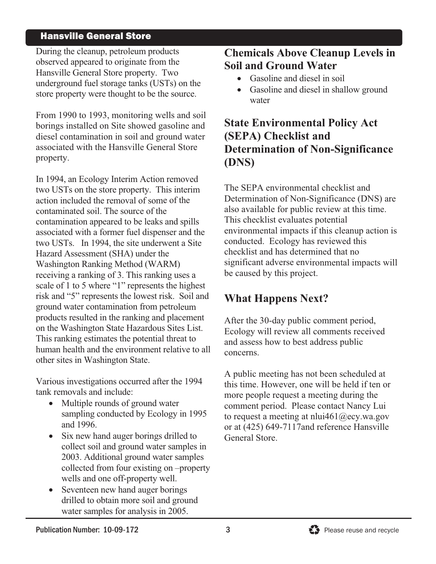#### Hansville General Store

During the cleanup, petroleum products observed appeared to originate from the Hansville General Store property. Two underground fuel storage tanks (USTs) on the store property were thought to be the source.

From 1990 to 1993, monitoring wells and soil borings installed on Site showed g diesel contamination in soil and ground water associated with the Hansville General Store property.

In 1994, an Ecology Interim Action removed two USTs on the store property. This interim action included the removal of some of the e contaminated soil. The source of th contamination appeared to be leaks and spills associated with a former fuel dispenser and the two USTs. In 1994, the site underwent a Site Hazard Assessment (SHA) under the Washington Ranking Method (WARM) receiving a ranking of 3. This ranking uses a scale of 1 to 5 where "1" represents the highest risk and "5" represents the lowest risk ground water contamination from petroleum products resulted in the ranking and placement on the Washington State Hazardous Sites List. This ranking estimates the potential threat to human health and the environment rel ative to all other sites in Washington State.

Various investigations occurred after the 1994 tank removals and include:

- Multiple rounds of ground water sampling conducted by Ecology in 1995  $\bullet$ and 1996.
- Six new hand auger borings drilled to collect soil and ground water samples in 2003. Additional ground water samples collected from four existing on –property wells and one off-property well.  $\bullet$
- $\bullet$  Seventeen new hand auger borings drilled to obtain more soil and ground water samples for analysis in 2005.

## **Chemicals Above Cleanup Levels in Soil and Ground Water**

- Gasoline and diesel in soil
- Gasoline and diesel in shallow ground water

## asoline and **State Environmental Policy Act** ground water **(SEPA) Checklist and Determination of Non-Significance (DNS)**

The SEPA environmental checklist and Determination of Non-Significance (DNS) are also available for public review at this time. This checklist evaluates potential environmental impacts if this cleanup action is conducted. Ecology has reviewed this checklist and has determined that no significant adverse environmental impacts will be caused by this project.

# **Pappens Next?**

Ecology will review all comments received and assess how to best address public After the 30-day public comment period, concerns.

A public meeting has not been scheduled at this time. However, one will be held if ten or more people request a meeting during the comment period. Please contact Nancy Lui to request a meeting at nlui461@ecy.wa.gov or at (425) 649-7117and reference Hansville General Store.